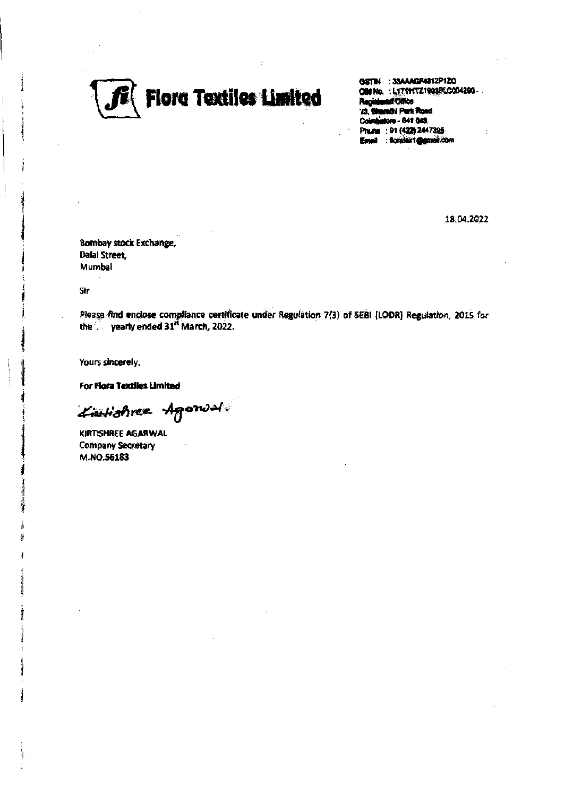

GSTIN : 33AAACP4812P1ZO ON No. : L17111721993FLC004290-**Registered Office** '/3, Bluenthi Park Road, Coimhistore - 841 043. Phune : 91 (422) 2447395 : florabeix1@gateil.com

18.04.2022

Bombay stock Exchange, **Dalal Street.** Mumbai

Sir

Please find enclose compliance certificate under Regulation 7(3) of SEBI [LODR] Regulation, 2015 for the yearly ended 31<sup>st</sup> March, 2022.

Yours sincerely,

For Flora Textiles Limited

Lieutishree Agonsal

KIRTISHREE AGARWAL Company Secretary M.NO.56183